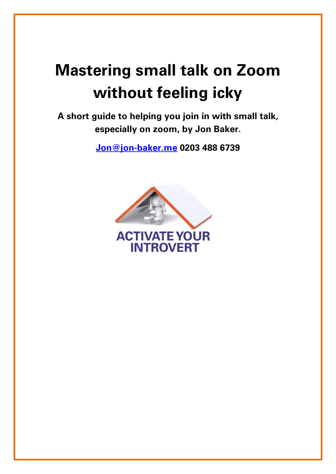# Mastering small talk on Zoom without feeling icky

A short guide to helping you join in with small talk, especially on zoom, by Jon Baker.

Jon@jon-baker.me 0203 488 6739

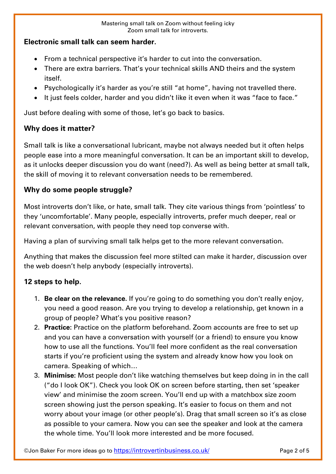#### Mastering small talk on Zoom without feeling icky Zoom small talk for introverts.

#### Electronic small talk can seem harder.

- From a technical perspective it's harder to cut into the conversation.
- There are extra barriers. That's your technical skills AND theirs and the system itself.
- Psychologically it's harder as you're still "at home", having not travelled there.
- It just feels colder, harder and you didn't like it even when it was "face to face."

Just before dealing with some of those, let's go back to basics.

## Why does it matter?

Small talk is like a conversational lubricant, maybe not always needed but it often helps people ease into a more meaningful conversation. It can be an important skill to develop, as it unlocks deeper discussion you do want (need?). As well as being better at small talk, the skill of moving it to relevant conversation needs to be remembered.

## Why do some people struggle?

Most introverts don't like, or hate, small talk. They cite various things from 'pointless' to they 'uncomfortable'. Many people, especially introverts, prefer much deeper, real or relevant conversation, with people they need top converse with.

Having a plan of surviving small talk helps get to the more relevant conversation.

Anything that makes the discussion feel more stilted can make it harder, discussion over the web doesn't help anybody (especially introverts).

## 12 steps to help.

- 1. Be clear on the relevance. If you're going to do something you don't really enjoy, you need a good reason. Are you trying to develop a relationship, get known in a group of people? What's you positive reason?
- 2. Practice: Practice on the platform beforehand. Zoom accounts are free to set up and you can have a conversation with yourself (or a friend) to ensure you know how to use all the functions. You'll feel more confident as the real conversation starts if you're proficient using the system and already know how you look on camera. Speaking of which…
- 3. Minimise: Most people don't like watching themselves but keep doing in in the call ("do I look OK"). Check you look OK on screen before starting, then set 'speaker view' and minimise the zoom screen. You'll end up with a matchbox size zoom screen showing just the person speaking. It's easier to focus on them and not worry about your image (or other people's). Drag that small screen so it's as close as possible to your camera. Now you can see the speaker and look at the camera the whole time. You'll look more interested and be more focused.

©Jon Baker For more ideas go to https://introvertinbusiness.co.uk/ Page 2 of 5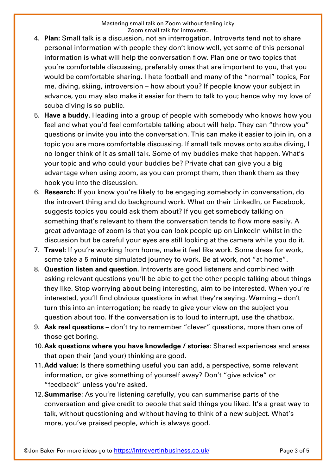- 4. Plan: Small talk is a discussion, not an interrogation. Introverts tend not to share personal information with people they don't know well, yet some of this personal information is what will help the conversation flow. Plan one or two topics that you're comfortable discussing, preferably ones that are important to you, that you would be comfortable sharing. I hate football and many of the "normal" topics, For me, diving, skiing, introversion – how about you? If people know your subject in advance, you may also make it easier for them to talk to you; hence why my love of scuba diving is so public.
- 5. Have a buddy. Heading into a group of people with somebody who knows how you feel and what you'd feel comfortable talking about will help. They can "throw you" questions or invite you into the conversation. This can make it easier to join in, on a topic you are more comfortable discussing. If small talk moves onto scuba diving, I no longer think of it as small talk. Some of my buddies make that happen. What's your topic and who could your buddies be? Private chat can give you a big advantage when using zoom, as you can prompt them, then thank them as they hook you into the discussion.
- 6. Research: If you know you're likely to be engaging somebody in conversation, do the introvert thing and do background work. What on their LinkedIn, or Facebook, suggests topics you could ask them about? If you get somebody talking on something that's relevant to them the conversation tends to flow more easily. A great advantage of zoom is that you can look people up on LinkedIn whilst in the discussion but be careful your eyes are still looking at the camera while you do it.
- 7. Travel: If you're working from home, make it feel like work. Some dress for work, some take a 5 minute simulated journey to work. Be at work, not "at home".
- 8. Question listen and question. Introverts are good listeners and combined with asking relevant questions you'll be able to get the other people talking about things they like. Stop worrying about being interesting, aim to be interested. When you're interested, you'll find obvious questions in what they're saying. Warning – don't turn this into an interrogation; be ready to give your view on the subject you question about too. If the conversation is to loud to interrupt, use the chatbox.
- 9. Ask real questions don't try to remember "clever" questions, more than one of those get boring.
- 10. Ask questions where you have knowledge / stories: Shared experiences and areas that open their (and your) thinking are good.
- 11. Add value: Is there something useful you can add, a perspective, some relevant information, or give something of yourself away? Don't "give advice" or "feedback" unless you're asked.
- 12. **Summarise:** As you're listening carefully, you can summarise parts of the conversation and give credit to people that said things you liked. It's a great way to talk, without questioning and without having to think of a new subject. What's more, you've praised people, which is always good.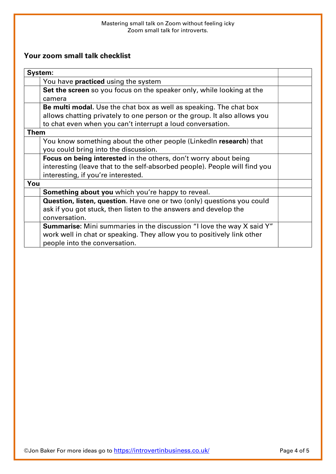#### Mastering small talk on Zoom without feeling icky Zoom small talk for introverts.

## Your zoom small talk checklist

| System:                                                                      |  |
|------------------------------------------------------------------------------|--|
| You have <b>practiced</b> using the system                                   |  |
| Set the screen so you focus on the speaker only, while looking at the        |  |
| camera                                                                       |  |
| Be multi modal. Use the chat box as well as speaking. The chat box           |  |
| allows chatting privately to one person or the group. It also allows you     |  |
| to chat even when you can't interrupt a loud conversation.                   |  |
| <b>Them</b>                                                                  |  |
| You know something about the other people (Linkedln research) that           |  |
| you could bring into the discussion.                                         |  |
| <b>Focus on being interested</b> in the others, don't worry about being      |  |
| interesting (leave that to the self-absorbed people). People will find you   |  |
| interesting, if you're interested.                                           |  |
| You                                                                          |  |
| <b>Something about you</b> which you're happy to reveal.                     |  |
| Question, listen, question. Have one or two (only) questions you could       |  |
| ask if you got stuck, then listen to the answers and develop the             |  |
| conversation.                                                                |  |
| <b>Summarise:</b> Mini summaries in the discussion "I love the way X said Y" |  |
| work well in chat or speaking. They allow you to positively link other       |  |
| people into the conversation.                                                |  |